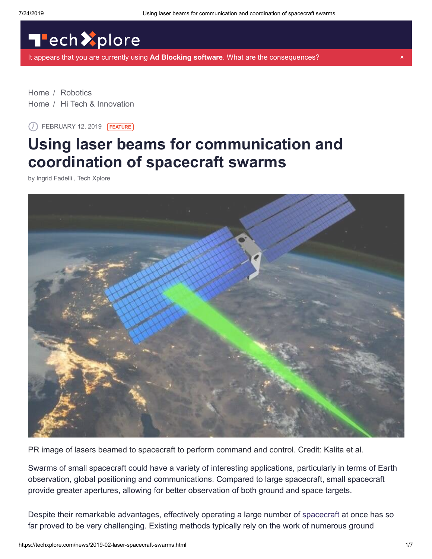# Tech Xplore

[It appears that you are currently using](https://sciencex.com/help/adblock/) **Ad Blocking software**. What are the consequences? ×

[Home](https://techxplore.com/) / [Robotics](https://techxplore.com/robotics-news/) [Home](https://techxplore.com/) / [Hi Tech & Innovation](https://techxplore.com/hi-tech-news/)

FEBRUARY 12, 2019 **FEATURE**

## **Using laser beams for communication and coordination of spacecraft swarms**

by Ingrid Fadelli , Tech Xplore



PR image of lasers beamed to spacecraft to perform command and control. Credit: Kalita et al.

Swarms of small spacecraft could have a variety of interesting applications, particularly in terms of Earth observation, global positioning and communications. Compared to large spacecraft, small spacecraft provide greater apertures, allowing for better observation of both ground and space targets.

Despite their remarkable advantages, effectively operating a large number of [spacecraft](https://techxplore.com/tags/spacecraft/) at once has so far proved to be very challenging. Existing methods typically rely on the work of numerous ground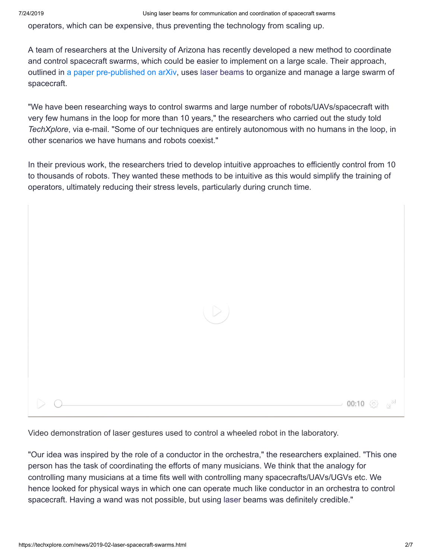operators, which can be expensive, thus preventing the technology from scaling up.

A team of researchers at the University of Arizona has recently developed a new method to coordinate and control spacecraft swarms, which could be easier to implement on a large scale. Their approach, outlined in [a paper pre-published on arXiv,](https://arxiv.org/pdf/1901.08875.pdf) uses [laser beams](https://techxplore.com/tags/laser+beams/) to organize and manage a large swarm of spacecraft.

"We have been researching ways to control swarms and large number of robots/UAVs/spacecraft with very few humans in the loop for more than 10 years," the researchers who carried out the study told *TechXplore*, via e-mail. "Some of our techniques are entirely autonomous with no humans in the loop, in other scenarios we have humans and robots coexist."

In their previous work, the researchers tried to develop intuitive approaches to efficiently control from 10 to thousands of robots. They wanted these methods to be intuitive as this would simplify the training of operators, ultimately reducing their stress levels, particularly during crunch time.



Video demonstration of laser gestures used to control a wheeled robot in the laboratory.

"Our idea was inspired by the role of a conductor in the orchestra," the researchers explained. "This one person has the task of coordinating the efforts of many musicians. We think that the analogy for controlling many musicians at a time fits well with controlling many spacecrafts/UAVs/UGVs etc. We hence looked for physical ways in which one can operate much like conductor in an orchestra to control spacecraft. Having a wand was not possible, but using [laser](https://techxplore.com/tags/laser/) beams was definitely credible."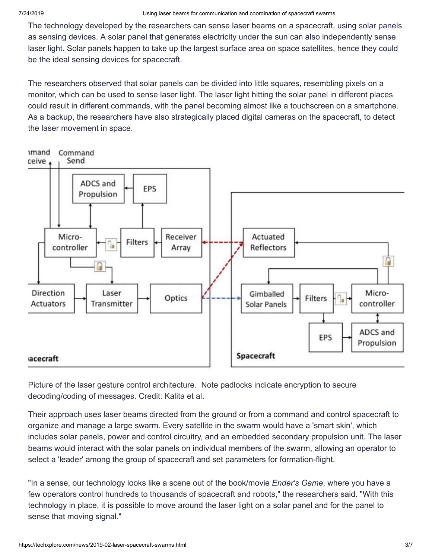The technology developed by the researchers can sense laser beams on a spacecraft, using [solar panels](https://techxplore.com/tags/solar+panels/) as sensing devices. A solar panel that generates electricity under the sun can also independently sense laser light. Solar panels happen to take up the largest surface area on space satellites, hence they could be the ideal sensing devices for spacecraft.

The researchers observed that solar panels can be divided into little squares, resembling pixels on a monitor, which can be used to sense laser light. The laser light hitting the solar panel in different places could result in different commands, with the panel becoming almost like a touchscreen on a smartphone. As a backup, the researchers have also strategically placed digital cameras on the spacecraft, to detect the laser movement in space.



Picture of the laser gesture control architecture. Note padlocks indicate encryption to secure decoding/coding of messages. Credit: Kalita et al.

Their approach uses laser beams directed from the ground or from a command and control spacecraft to organize and manage a large swarm. Every satellite in the swarm would have a 'smart skin', which includes solar panels, power and control circuitry, and an embedded secondary propulsion unit. The laser beams would interact with the solar panels on individual members of the swarm, allowing an operator to select a 'leader' among the group of spacecraft and set parameters for formation-flight.

"In a sense, our technology looks like a scene out of the book/movie *Ender's Game*, where you have a few operators control hundreds to thousands of spacecraft and robots," the researchers said. "With this technology in place, it is possible to move around the laser light on a solar panel and for the panel to sense that moving signal."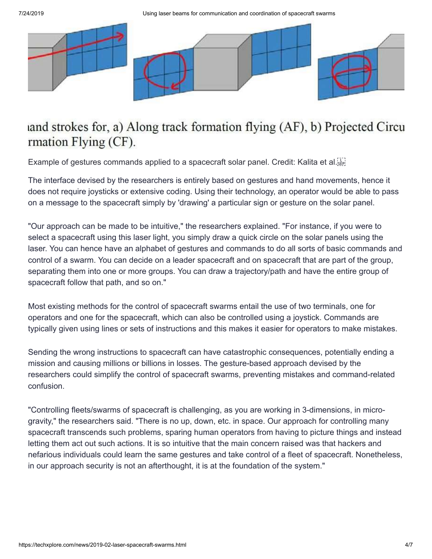7/24/2019 Using laser beams for communication and coordination of spacecraft swarms



### and strokes for, a) Along track formation flying (AF), b) Projected Circu rmation Flying (CF).

Example of gestures commands applied to a spacecraft solar panel. Credit: Kalita et al.

The interface devised by the researchers is entirely based on gestures and hand movements, hence it does not require joysticks or extensive coding. Using their technology, an operator would be able to pass on a message to the spacecraft simply by 'drawing' a particular sign or gesture on the solar panel.

"Our approach can be made to be intuitive," the researchers explained. "For instance, if you were to select a spacecraft using this laser light, you simply draw a quick circle on the solar panels using the laser. You can hence have an alphabet of gestures and commands to do all sorts of basic commands and control of a swarm. You can decide on a leader spacecraft and on spacecraft that are part of the group, separating them into one or more groups. You can draw a trajectory/path and have the entire group of spacecraft follow that path, and so on."

Most existing methods for the control of spacecraft swarms entail the use of two terminals, one for operators and one for the spacecraft, which can also be controlled using a joystick. Commands are typically given using lines or sets of instructions and this makes it easier for operators to make mistakes.

Sending the wrong instructions to spacecraft can have catastrophic consequences, potentially ending a mission and causing millions or billions in losses. The gesture-based approach devised by the researchers could simplify the control of spacecraft swarms, preventing mistakes and command-related confusion.

"Controlling fleets/swarms of spacecraft is challenging, as you are working in 3-dimensions, in microgravity," the researchers said. "There is no up, down, etc. in space. Our approach for controlling many spacecraft transcends such problems, sparing human operators from having to picture things and instead letting them act out such actions. It is so intuitive that the main concern raised was that hackers and nefarious individuals could learn the same gestures and take control of a fleet of spacecraft. Nonetheless, in our approach security is not an afterthought, it is at the foundation of the system."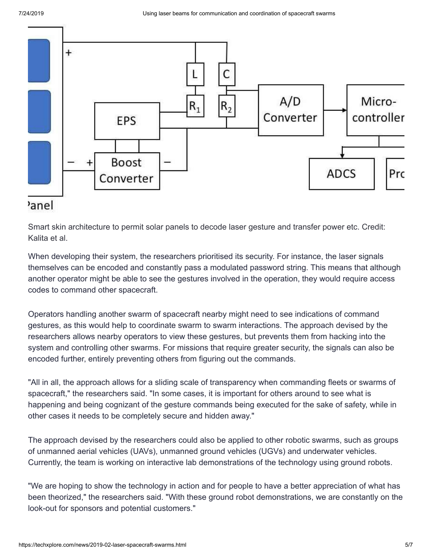

Smart skin architecture to permit solar panels to decode laser gesture and transfer power etc. Credit: Kalita et al.

When developing their system, the researchers prioritised its security. For instance, the laser signals themselves can be encoded and constantly pass a modulated password string. This means that although another operator might be able to see the gestures involved in the operation, they would require access codes to command other spacecraft.

Operators handling another swarm of spacecraft nearby might need to see indications of command gestures, as this would help to coordinate swarm to swarm interactions. The approach devised by the researchers allows nearby operators to view these gestures, but prevents them from hacking into the system and controlling other swarms. For missions that require greater security, the signals can also be encoded further, entirely preventing others from figuring out the commands.

"All in all, the approach allows for a sliding scale of transparency when commanding fleets or swarms of spacecraft," the researchers said. "In some cases, it is important for others around to see what is happening and being cognizant of the gesture commands being executed for the sake of safety, while in other cases it needs to be completely secure and hidden away."

The approach devised by the researchers could also be applied to other robotic swarms, such as groups of unmanned aerial vehicles (UAVs), unmanned ground vehicles (UGVs) and underwater vehicles. Currently, the team is working on interactive lab demonstrations of the technology using ground robots.

"We are hoping to show the technology in action and for people to have a better appreciation of what has been theorized," the researchers said. "With these ground robot demonstrations, we are constantly on the look-out for sponsors and potential customers."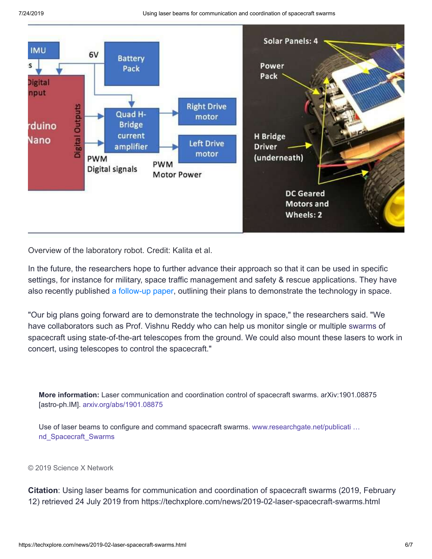7/24/2019 Using laser beams for communication and coordination of spacecraft swarms



Overview of the laboratory robot. Credit: Kalita et al.

In the future, the researchers hope to further advance their approach so that it can be used in specific settings, for instance for military, space traffic management and safety & rescue applications. They have also recently published [a follow-up paper](https://www.researchgate.net/publication/330701772_Use_of_Laser_Beams_to_Configure_and_Command_Spacecraft_Swarms), outlining their plans to demonstrate the technology in space.

"Our big plans going forward are to demonstrate the technology in space," the researchers said. "We have collaborators such as Prof. Vishnu Reddy who can help us monitor single or multiple [swarms](https://techxplore.com/tags/swarms/) of spacecraft using state-of-the-art telescopes from the ground. We could also mount these lasers to work in concert, using telescopes to control the spacecraft."

**More information:** Laser communication and coordination control of spacecraft swarms. arXiv:1901.08875 [astro-ph.IM]. [arxiv.org/abs/1901.08875](https://arxiv.org/abs/1901.08875)

Use of laser beams to configure and command spacecraft swarms. www.researchgate.net/publicati ... nd\_Spacecraft\_Swarms

#### © 2019 Science X Network

**Citation**: Using laser beams for communication and coordination of spacecraft swarms (2019, February 12) retrieved 24 July 2019 from https://techxplore.com/news/2019-02-laser-spacecraft-swarms.html